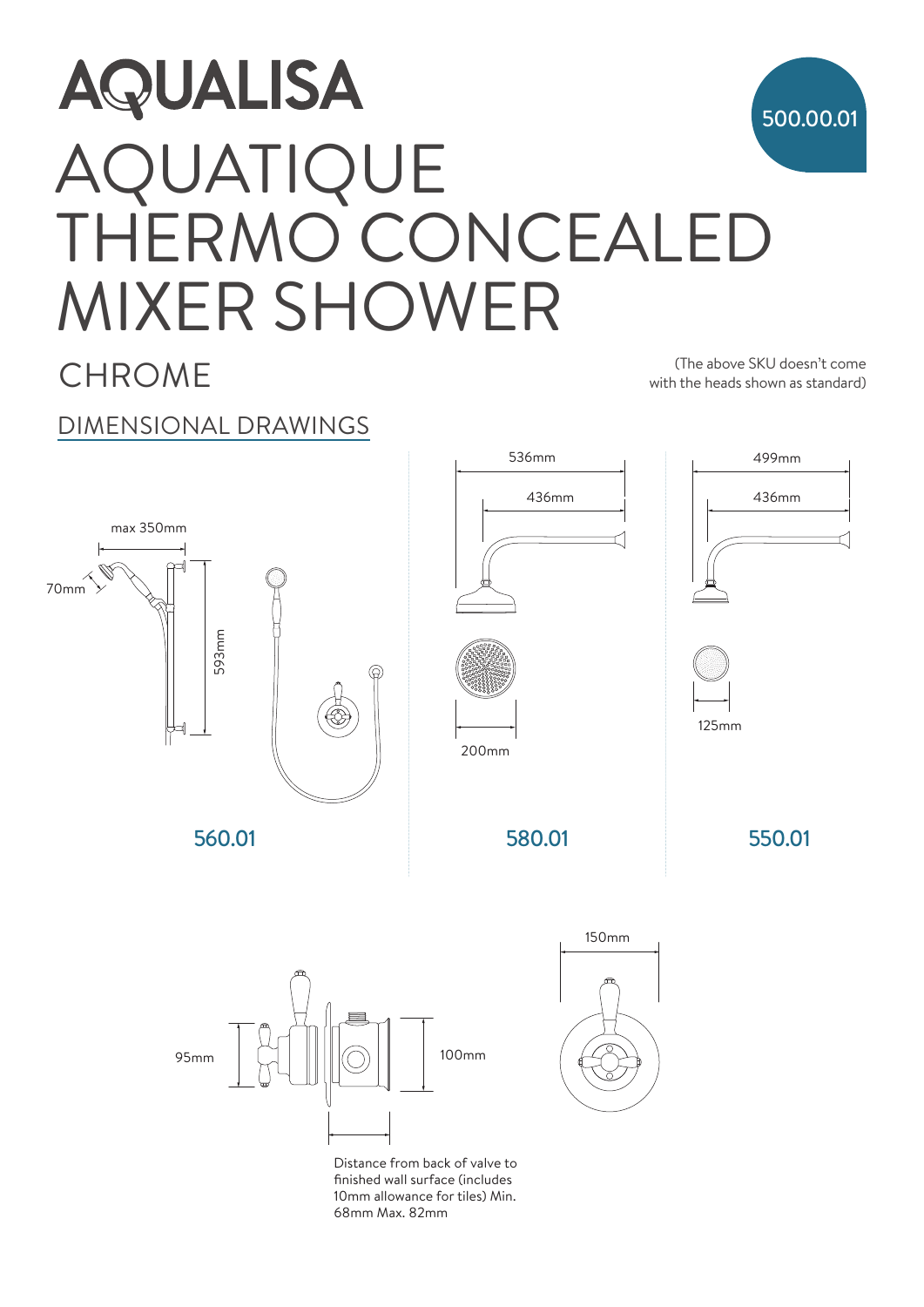

**CHROMF** 

(The above SKU doesn't come with the heads shown as standard)

536mm 499mm

## DIMENSIONAL DRAWINGS



10mm allowance for tiles) Min. 68mm Max. 82mm